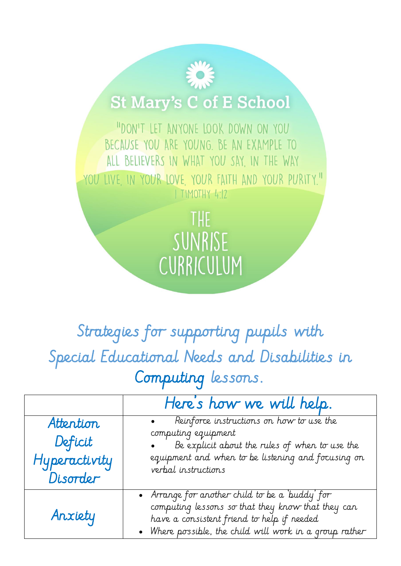## **St Mary's C of E School**

"DON'T LET ANYONE LOOK DOWN ON YOU BECAUSE YOU ARE YOUNG. BE AN EXAMPLE TO ALL BELIEVERS IN WHAT YOU SAY, IN THE WAY YOU LIVE IN YOUR LOVE YOUR FAITH AND YOUR PURITY." I TIMOTHY 4:12

> THE SUNRISE CURRICULUM

Strategies for supporting pupils with Special Educational Needs and Disabilities in Computing lessons.

|                                                   | Here's how we will help.                                                                                                                                                                                      |
|---------------------------------------------------|---------------------------------------------------------------------------------------------------------------------------------------------------------------------------------------------------------------|
| Attention<br>Deficit<br>Hyperactivity<br>Disorder | Reinforce instructions on how to use the<br>computing equipment<br>Be explicit about the rules of when to use the<br>equipment and when to be listening and focusing on<br>verbal instructions                |
| Anxiety                                           | • Arrange for another child to be a 'buddy' for<br>computing lessons so that they know that they can<br>have a consistent friend to help if needed<br>• Where possible, the child will work in a group rather |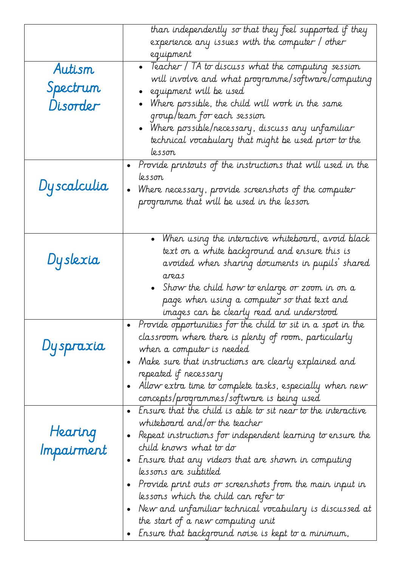| Autism<br>Spectrum<br>Disorder | than independently so that they feel supported if they<br>experience any issues with the computer / other<br>equipment<br>• Teacher / TA to discuss what the computing session<br>will involve and what programme/software/computing<br>equipment will be used<br>$\bullet$ Where possible, the child will work in the same<br>group/team for each session<br>• Where possible/necessary, discuss any unfamiliar $\,$<br>technical vocabulary that might be used prior to the<br>lesson                                                                                                                      |
|--------------------------------|--------------------------------------------------------------------------------------------------------------------------------------------------------------------------------------------------------------------------------------------------------------------------------------------------------------------------------------------------------------------------------------------------------------------------------------------------------------------------------------------------------------------------------------------------------------------------------------------------------------|
| Dyscalculia                    | Provide printouts of the instructions that will used in the<br>lesson<br>Where necessary, provide screenshots of the computer<br>$\bullet$<br>programme that will be used in the lesson                                                                                                                                                                                                                                                                                                                                                                                                                      |
| Dyslexia                       | • When using the interactive whiteboard, avoid black<br>text on a white background and ensure this is<br>avoided when sharing documents in pupils' shared<br>areas<br>Show the child how to enlarge or zoom in on a<br>page when using a computer so that text and                                                                                                                                                                                                                                                                                                                                           |
| Dyspraxia                      | images can be clearly read and understood<br>• Provide opportunities for the child to sit in a spot in the<br>classroom where there is plenty of room, particularly<br>when a computer is needed<br>Make sure that instructions are clearly explained and<br>$\bullet$<br>repeated if necessary<br>Allow extra time to complete tasks, especially when new<br>$\bullet$<br>concepts/programmes/software is being used                                                                                                                                                                                        |
| Hearing<br>Impairment          | Ensure that the child is able to sit near to the interactive<br>$\bullet$<br>whiteboard and/or the teacher<br>Repeat instructions for independent learning to ensure the<br>$\bullet$<br>child knows what to do<br>Ensure that any videos that are shown in computing<br>$\bullet$<br>lessons are subtitled<br>Provide print outs or screenshots from the main input in<br>$\bullet$<br>lessons which the child can refer to<br>New and unfamiliar technical vocabulary is discussed at<br>$\bullet$<br>the start of a new computing unit<br>Ensure that background noise is kept to a minimum,<br>$\bullet$ |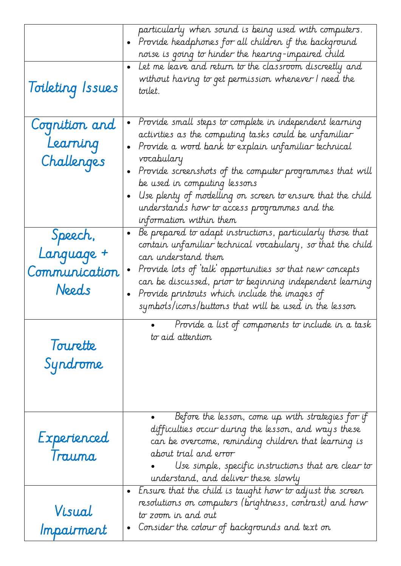| Toileting Issues                                | particularly when sound is being used with computers.<br>Provide headphones for all children if the background<br>noise is going to hinder the hearing-impaired child<br>Let me leave and return to the classroom discreetly and<br>without having to get permission whenever I need the<br>toilet.                                                                                                                                                  |
|-------------------------------------------------|------------------------------------------------------------------------------------------------------------------------------------------------------------------------------------------------------------------------------------------------------------------------------------------------------------------------------------------------------------------------------------------------------------------------------------------------------|
| Cognition and<br>Learning<br>Challenges         | Provide small steps to complete in independent learning<br>$\bullet$<br>activities as the computing tasks could be unfamiliar<br>Provide a word bank to explain unfamiliar technical<br>$\bullet$<br>vocabulary<br>Provide screenshots of the computer programmes that will<br>be used in computing lessons<br>Use plenty of modelling on screen to ensure that the child<br>understands how to access programmes and the<br>information within them |
| Speech,<br>Language +<br>Communication<br>Needs | Be prepared to adapt instructions, particularly those that<br>$\bullet$<br>contain unfamiliar technical vocabulary, so that the child<br>can understand them<br>Provide lots of 'talk' opportunities so that new concepts<br>can be discussed, prior to beginning independent learning<br>Provide printouts which include the images of<br>symbols/icons/buttons that will be used in the lesson                                                     |
| Tourette<br>Syndrome                            | Provide a list of components to include in a task<br>to aid attention                                                                                                                                                                                                                                                                                                                                                                                |
| Experienced<br>Trauma                           | Before the lesson, come up with strategies for if<br>difficulties occur during the lesson, and ways these<br>can be overcome, reminding children that learning is<br>about trial and error<br>Use simple, specific instructions that are clear to<br>understand, and deliver these slowly                                                                                                                                                            |
| Visual<br>Impairment                            | Ensure that the child is taught how to adjust the screen<br>$\bullet$<br>resolutions on computers (brightness, contrast) and how<br>to zoom in and out<br>Consider the colour of backgrounds and text on<br>$\bullet$                                                                                                                                                                                                                                |